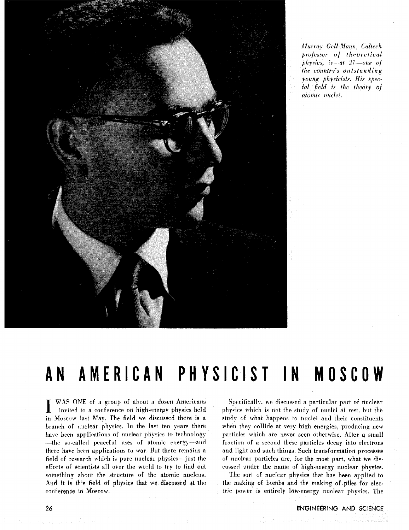

Murray *GeH-Mann. Caltech*  professor of theoretical physics, is at 27 one of  $the$  *country's outstanding young* physicist?. **His** special field is the theory of *atomic* nuclei.

# **AN AMERICAN PHYSICIST IN MOSCOW**

WAS ONE of a group of about a dozen Americans invited to a conference on high-energy physics held Moscow last Mav. The field we discussed there is a branch of nuclear physics. In the last ten years there have been applications of nuclear physics to technology -the so-called peaceful uses of atomic energy-and there have been applications to war. Rut there remains a field of research which is pure nuclear physics-just the efforts of scientists all over the world to try to find out something about the structure of the atomic nucleus. And it is this field of physics that we discussed **at** the conference in Moscow,

Specifically, we discussed a particular part of nuclear physics which is not the study of nuclei at rest, but the study of what happens to nuclei and their constituents when they collide at very high energies, producing new particles which are never seen otherwise. After a small fraction of a second these particles decay into electrons and light and such things. Such transformation processes of nuclear particles are. for the most part, what we discussed under the name of high-energy nuclear physics.

The sort **of** nuclear physics that has been applied to the making of bombs and the making of piles for electric power is entirely low-energy nuclear phyqics. The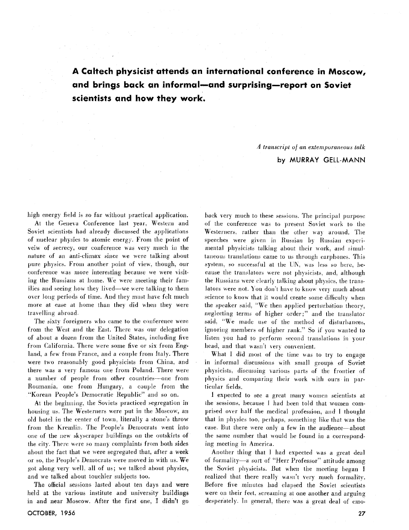**A Caltech physicist attends an international conference in Moscow,**  and brings back an informal-and surprising-report on Soviet **scientists and how they work,** 

> A transcript of an extemporaiieous talk by *MURRAY* **GELL-MANN**

high energy field is so far without practical application.

At the Geneva Conference last year. Western and Soviet scientists had already discussed the applications of nuclear physics to atomic energy. From the point of veiw of secrecy, our conference was very much in the nature of an anti-climax since we were talking about pure physics. From another point of view, though, our conference was more interesting because we were visiting the Russians at home. We were meeting their families and seeing how they lived—we were talking to them over long periods of time. And they must have felt much more at ease at home than they did when they were travelling abroad.

The sixty foreigners who came to the conference were from the West and the East. There was our delegation of about a dozen from the United States, including five from California. There were some five or six from England, a few from France, and a couple from Italy. There were two reasonably good physicists from China, and there was a very famous one from Poland. There were a number of people from other countries--one from Roumania. one from Hungary, a couple from the "Korean People's Democratic Republic" and so on.

At the beginning, the Soviets practiced segregation in housing us. The Westerners were put in the Moscow, an old hotel in the center of town, literally a stone's throw from the Kremlin. The People's Democrats went into one of the new skyscraper buildings on the outskirts of the city. There were so many complaints from both sides about the fact that we were segregated that, after a week or so, the People's Democrats were moved in with us. We got along very well, all of us; we talked about physics, and we talked about touchier subjects too.

The official sessions lasted about ten days and were held at the various institute and university buildings in and near Moscow. After the first one, I didn't go of the conference was to present Soviet work to the Westerners, rather than the other way around. The speeches were given in Russian by Russian experimental physicists talking about their work, and simultaneous translations came to us through earphones. This system, so successful at the UN, was less so here, because the translators were not physicists, and, although the Russians were clearly talking about physics, the translators were not. You don't have to know very much about science to know that it would create some difficulty when the speaker said. "'We then applied perturbation theory, neglecting terms of higher order;" and the translator said. "We made use of the method of disturbances, ignoring members of higher rank." So if you wanted to listen you had to perform second translations in your head, and that wasn't very convenient.

back very much to these sessions. The principal purpose

What I did most of the time was to try to engage in informal discussions with small groups of Soviet physicists, discussing various parts of the frontier of physics and comparing their work with ours in particular fields.

1 expected to bee a great many women scientists at the sessions. hecause I had been told that women comprised o\er half the medical profession, and I thought that in physics too, perhaps, something like that was the case. But there were only a few in the audience—about the same number that would be found in a corresponding meeting in America.

Another thing that I had expected was a great deal of formality-a sort of "Herr Professor"' attitude among the Soviet physicists. But when the meeting began I realized that there really wasn't very much formality. Before five minutes had elapsed the Soviet scientists were on their feet, screaming at one another and arguing desperately. In general, there was a great deal of emo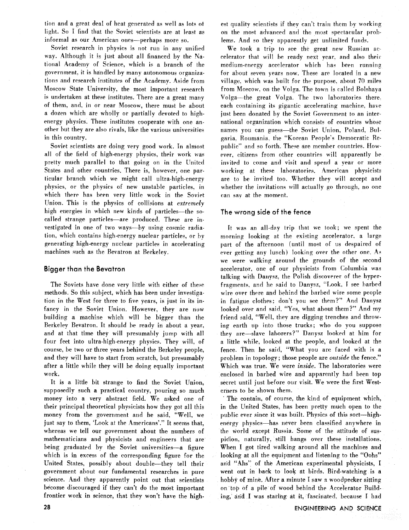tion and a great deal of heat generated as well as lots **ot**  light. So I find that the Soviet scientists are at least as informal as our American ones—perhaps more so.

Soviet research in physics is not run in any unified way. Although it is just about all financed by the National Academy of Science, which is a branch of the government. it is handled by many autonomous organizations and research institutes of the Academy. Aside from Moscow State University. the most important research is undertaken at these institutes. There are a great many of them, and, in or near Moscow, there must be about a dozen which are wholly or partially devoted to highenergy physics. These institutes cooperate with one another but they are also rivals, like the various universities in this country.

Soviet scientists are doing very good work. In almost all of the field of high-energy physics, their work was prelty much parallel to that going on in the United States and other countries. There is, however, one particular branch which we might call ultra-high-energy physics, or the physics of new unstable particles. in which there has been very little work in the Soviet Union. This is the physics of collisions at extremely high energies in which new kinds of particles—the socalled strange particles-are produced. These are investigated in one of two ways-by using cosmic radiation, which contains high-energy nuclear particles, or by generating high-energy nuclear particles in accelerating machines such as the Bevatron at Berkeley.

### **Bigger than the Bevatron**

The Soviets have done very little with either of these methods. So this subject, which has been under investigation in the West for three to five years, is just in its infancy in the Soviet Union. However, they are now building a machine which will be bigger than the Berkeley Bevatron. It should be ready in about a year, and at that time they will presumably jump with all four feet into ultra-high-energy physics. They will. of course, be two or three years behind the Berkeley people, and they will have to start from scratch, but presumably after a little while they will be doing equally important work.

It is a little bit strange to find the Soviet Union, supposedly such a practical country, pouring so much money into a very abstract field. We asked one of their principal theoretical physicists how they got all this money from the government and he said, "Well, we just say to them. 'Look at the Americans'.'' It seems that, whereas we tell our government about the numbers of mathematicians and physicists and engineers that are being graduated by the Soviet universities-a figure which is in excess of the corresponding figure for the United States, possibly about double-they tell their government about our fundamental researches in pure science. And they apparently point out that scientists become discouraged if they can't do the most important frontier work in science, that they won't have the highest quality scientists if they can't train them by working on the most advanced and the most spertaciilar problems. And so they apparently get unlimited funds.

We took a trip to see the great new Russian accelerator that will be ready next year. and also their medium-energy accelerator which has been running for about seven years now. These are located in a new village. which was built for the purpose. about 70 miles from Moscow. on the Volga. The town is called Bolshaya Volga-the great Volga. The two laboratories there each containing its gigantic accelerating machine. have just been donated by the Soviet Government to an international organization which consists of countries whose names you can guess—the Soviet Union, Poland, Bulgaria. Roumania. the 'Xorean People's Democratic Republic" and so forth. These are member countries. However, citizens from other countries will apparently be invited to come and visit and spend a year or more working at these laboratories. American physicists are to be invited too. Whether they will accept and whether the invitations will actually go through, no one can say at the moment.

# **The wrong side of the fence**

It was an all-day trip that we took; we spent the morning looking at the existing accelerator. a large part of the afternoon (until most of us despaired of ever getting any lunch) looking over the other one. **A<**  we were walking around the grounds of the second accelerator, one of our physicists from Columbia was talking with Danysz. the Polish discoverer of the hyperfragments, and he said to Danysz, "Look, I see barbed wire over there and behind the barbed wire some people in fatigue clothes; don't you see them?" And Danysz looked over and said, "Yes, what about them?" And my friend said, "Well, they are digging trenches and throwing earth up into those trucks; who do you suppose they are-slave laborers?"' Danysz looked at him for a little while, looked at the people, and looked at the fence. Then he said, "What you are faced with is a problem in topology; those people are **outside** the fence.'' Which was true. We were **inside.** The laboratories were enclosed in barbed wire and apparently had been top secret until just before our visit. We were the first Westerners to be shown them.

The contain, of course, the kind of equipment which, in the United States, has been pretty much open to the public ever since it was built. Physics of this sort—highenergy physics-has never been classified anywhere in the world except Russia. Some of the attitude of suspicion, naturally, still hangs over these installations. When I got tired walking around all the machines and looking at all the equipment and listening to the "Oohs" arid "Ahs" of the American experimental physicists, I went out in hack to look at birds. Bird-watching is a hobby of mine. After a minute I saw a woodpecker sitting on top of a pile of wood behind the Accelerator Building, arid I was staring at it, fascinated, because I had